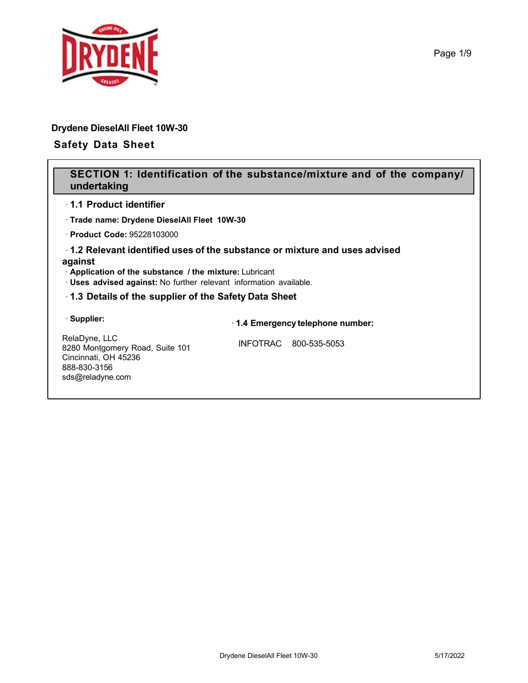

# **Drydene DieselAll Fleet 10W-30**

# **Safety Data Sheet**

# **SECTION 1: Identification of the substance/mixture and of the company/ undertaking**

## · **1.1 Product identifier**

· **Trade name: Drydene DieselAll Fleet 10W-30**

· **Product Code:** 95228103000

## · **1.2 Relevant identified uses of the substance or mixture and uses advised against**

· **Application of the substance / the mixture:** Lubricant

· **Uses advised against:** No further relevant information available.

## · **1.3 Details of the supplier of the Safety Data Sheet**

## · **Supplier:**

· **1.4 Emergency telephone number:**

RelaDyne, LLC 8280 Montgomery Road, Suite 101 Cincinnati, OH 45236 888-830-3156 sds@reladyne.com

INFOTRAC 800-535-5053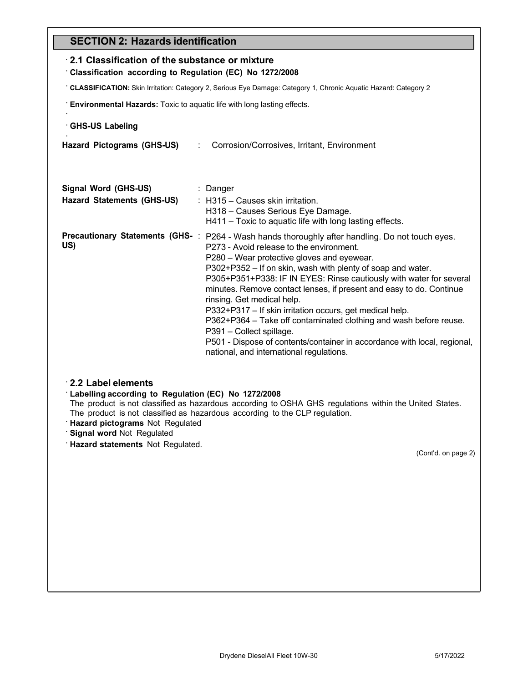# **SECTION 2: Hazards identification**

| ULU I IUN Z. TIUZUI USTUUTIUIKUIUI                                                                              |                                                                                                                                                                                                                                                                                                                                                                                                                                                                                                                                                                                                                                                                                                                           |  |  |  |
|-----------------------------------------------------------------------------------------------------------------|---------------------------------------------------------------------------------------------------------------------------------------------------------------------------------------------------------------------------------------------------------------------------------------------------------------------------------------------------------------------------------------------------------------------------------------------------------------------------------------------------------------------------------------------------------------------------------------------------------------------------------------------------------------------------------------------------------------------------|--|--|--|
| 2.1 Classification of the substance or mixture<br>Classification according to Regulation (EC) No 1272/2008      |                                                                                                                                                                                                                                                                                                                                                                                                                                                                                                                                                                                                                                                                                                                           |  |  |  |
| CLASSIFICATION: Skin Irritation: Category 2, Serious Eye Damage: Category 1, Chronic Aquatic Hazard: Category 2 |                                                                                                                                                                                                                                                                                                                                                                                                                                                                                                                                                                                                                                                                                                                           |  |  |  |
| : Environmental Hazards: Toxic to aquatic life with long lasting effects.                                       |                                                                                                                                                                                                                                                                                                                                                                                                                                                                                                                                                                                                                                                                                                                           |  |  |  |
| <b>GHS-US Labeling</b>                                                                                          |                                                                                                                                                                                                                                                                                                                                                                                                                                                                                                                                                                                                                                                                                                                           |  |  |  |
| <b>Hazard Pictograms (GHS-US)</b>                                                                               | Corrosion/Corrosives, Irritant, Environment<br>$\mathcal{L}^{\text{max}}$                                                                                                                                                                                                                                                                                                                                                                                                                                                                                                                                                                                                                                                 |  |  |  |
|                                                                                                                 |                                                                                                                                                                                                                                                                                                                                                                                                                                                                                                                                                                                                                                                                                                                           |  |  |  |
| Signal Word (GHS-US)<br><b>Hazard Statements (GHS-US)</b>                                                       | : Danger<br>: H315 - Causes skin irritation.<br>H318 - Causes Serious Eye Damage.<br>H411 - Toxic to aquatic life with long lasting effects.                                                                                                                                                                                                                                                                                                                                                                                                                                                                                                                                                                              |  |  |  |
| US)                                                                                                             | Precautionary Statements (GHS-: P264 - Wash hands thoroughly after handling. Do not touch eyes.<br>P273 - Avoid release to the environment.<br>P280 - Wear protective gloves and eyewear.<br>P302+P352 – If on skin, wash with plenty of soap and water.<br>P305+P351+P338: IF IN EYES: Rinse cautiously with water for several<br>minutes. Remove contact lenses, if present and easy to do. Continue<br>rinsing. Get medical help.<br>P332+P317 - If skin irritation occurs, get medical help.<br>P362+P364 – Take off contaminated clothing and wash before reuse.<br>P391 - Collect spillage.<br>P501 - Dispose of contents/container in accordance with local, regional,<br>national, and international regulations. |  |  |  |
| 2.2 Label elements<br>Labelling according to Regulation (EC) No 1272/2008                                       |                                                                                                                                                                                                                                                                                                                                                                                                                                                                                                                                                                                                                                                                                                                           |  |  |  |

The product is not classified as hazardous according to OSHA GHS regulations within the United States. The product is not classified as hazardous according to the CLP regulation.

- · **Hazard pictograms** Not Regulated
- · **Signal word** Not Regulated
- · **Hazard statements** Not Regulated.

(Cont'd. on page 2)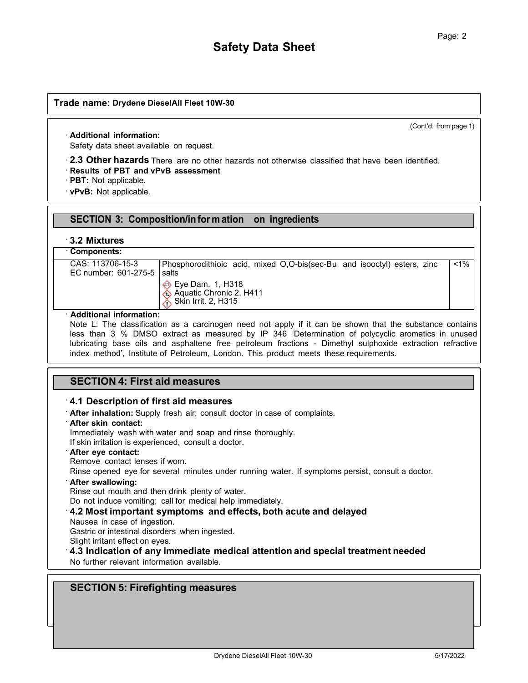(Cont'd. from page 1)

### · **Additional information:**

Safety data sheet available on request.

· **2.3 Other hazards** There are no other hazards not otherwise classified that have been identified. · **Results of PBT and vPvB assessment**

· **PBT:** Not applicable.

· **vPvB:** Not applicable.

# **SECTION 3: Composition/in for m ation on ingredients**

## · **3.2 Mixtures**

## · **Components:**

CAS: 113706-15-3 EC number: 601-275-5 Phosphorodithioic acid, mixed O,O-bis(sec-Bu and isooctyl) esters, zinc salts <1%

> $\Leftrightarrow$  Eye Dam. 1, H318 Aquatic Chronic 2, H411 Skin Irrit. 2, H315

### · **Additional information:**

Note L: The classification as a carcinogen need not apply if it can be shown that the substance contains less than 3 % DMSO extract as measured by IP 346 'Determination of polycyclic aromatics in unused lubricating base oils and asphaltene free petroleum fractions - Dimethyl sulphoxide extraction refractive index method', Institute of Petroleum, London. This product meets these requirements.

# **SECTION 4: First aid measures**

## · **4.1 Description of first aid measures**

- · **After inhalation:** Supply fresh air; consult doctor in case of complaints.
- · **After skin contact:**

Immediately wash with water and soap and rinse thoroughly.

If skin irritation is experienced, consult a doctor.

- · **After eye contact:**
- Remove contact lenses if worn.
- Rinse opened eye for several minutes under running water. If symptoms persist, consult a doctor.

### · **After swallowing:**

Rinse out mouth and then drink plenty of water.

Do not induce vomiting; call for medical help immediately.

- · **4.2 Most important symptoms and effects, both acute and delayed**
- Nausea in case of ingestion.

Gastric or intestinal disorders when ingested.

Slight irritant effect on eyes.

· **4.3 Indication of any immediate medical attention and special treatment needed**

No further relevant information available.

# **SECTION 5: Firefighting measures**

(Cont'd. on page 3)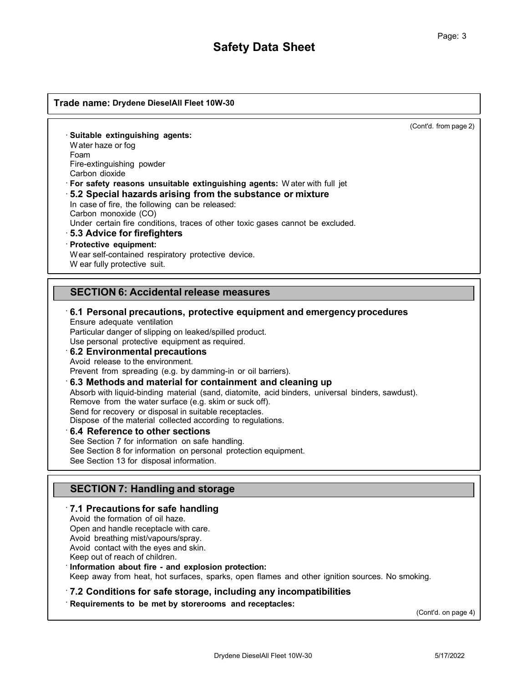(Cont'd. from page 2)

· **Suitable extinguishing agents:** W ater haze or fog Foam Fire-extinguishing powder Carbon dioxide

· **For safety reasons unsuitable extinguishing agents:** W ater with full jet

## · **5.2 Special hazards arising from the substance or mixture**

In case of fire, the following can be released:

Carbon monoxide (CO)

Under certain fire conditions, traces of other toxic gases cannot be excluded.

### · **5.3 Advice for firefighters**

### · **Protective equipment:**

W ear self-contained respiratory protective device.

W ear fully protective suit.

## **SECTION 6: Accidental release measures**

## · **6.1 Personal precautions, protective equipment and emergencyprocedures** Ensure adequate ventilation

Particular danger of slipping on leaked/spilled product.

Use personal protective equipment as required.

#### · **6.2 Environmental precautions** Avoid release to the environment.

Prevent from spreading (e.g. by damming-in or oil barriers).

## · **6.3 Methods and material for containment and cleaning up**

Absorb with liquid-binding material (sand, diatomite, acid binders, universal binders, sawdust).

Remove from the water surface (e.g. skim or suck off).

Send for recovery or disposal in suitable receptacles.

Dispose of the material collected according to regulations.

### · **6.4 Reference to other sections**

See Section 7 for information on safe handling. See Section 8 for information on personal protection equipment. See Section 13 for disposal information.

# **SECTION 7: Handling and storage**

## · **7.1 Precautions for safe handling**

Avoid the formation of oil haze.

Open and handle receptacle with care.

Avoid breathing mist/vapours/spray.

Avoid contact with the eyes and skin.

Keep out of reach of children.

### · **Information about fire - and explosion protection:**

Keep away from heat, hot surfaces, sparks, open flames and other ignition sources. No smoking.

## · **7.2 Conditions for safe storage, including any incompatibilities**

· **Requirements to be met by storerooms and receptacles:**

(Cont'd. on page 4)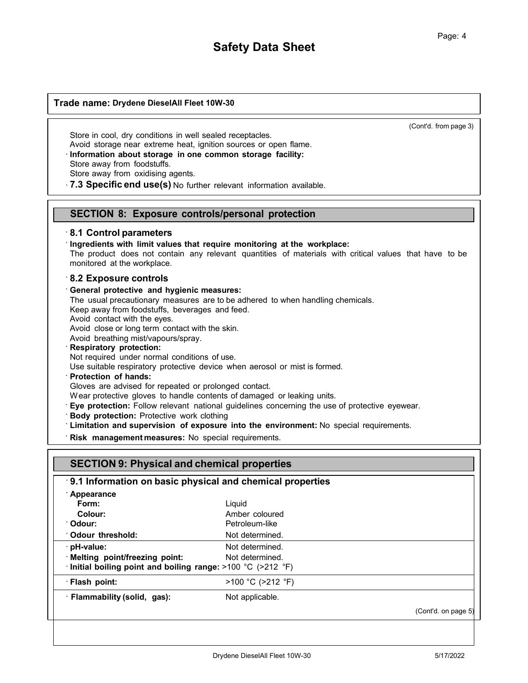(Cont'd. from page 3)

Store in cool, dry conditions in well sealed receptacles. Avoid storage near extreme heat, ignition sources or open flame. · **Information about storage in one common storage facility:** Store away from foodstuffs. Store away from oxidising agents.

· **7.3 Specific end use(s)** No further relevant information available.

## **SECTION 8: Exposure controls/personal protection**

## · **8.1 Control parameters**

· **Ingredients with limit values that require monitoring at the workplace:**

The product does not contain any relevant quantities of materials with critical values that have to be monitored at the workplace.

#### · **8.2 Exposure controls**

· **General protective and hygienic measures:**

The usual precautionary measures are to be adhered to when handling chemicals.

Keep away from foodstuffs, beverages and feed.

Avoid contact with the eyes.

Avoid close or long term contact with the skin.

Avoid breathing mist/vapours/spray. · **Respiratory protection:**

Not required under normal conditions of use.

Use suitable respiratory protective device when aerosol or mist is formed.

#### · **Protection of hands:**

Gloves are advised for repeated or prolonged contact.

W ear protective gloves to handle contents of damaged or leaking units.

- · **Eye protection:** Follow relevant national guidelines concerning the use of protective eyewear.
- · **Body protection:** Protective work clothing

· **Limitation and supervision of exposure into the environment:** No special requirements.

· **Risk management measures:** No special requirements.

|                                                                    | 9.1 Information on basic physical and chemical properties |                     |
|--------------------------------------------------------------------|-----------------------------------------------------------|---------------------|
| Appearance                                                         |                                                           |                     |
| Form:                                                              | Liquid                                                    |                     |
| Colour:                                                            | Amber coloured                                            |                     |
| ∵Odour:                                                            | Petroleum-like                                            |                     |
| : Odour threshold:                                                 | Not determined.                                           |                     |
| · pH-value:                                                        | Not determined.                                           |                     |
| · Melting point/freezing point:                                    | Not determined.                                           |                     |
| $\cdot$ Initial boiling point and boiling range: >100 °C (>212 °F) |                                                           |                     |
| · Flash point:                                                     | $>100$ °C ( $>212$ °F)                                    |                     |
| · Flammability (solid, gas):                                       | Not applicable.                                           |                     |
|                                                                    |                                                           | (Cont'd. on page 5) |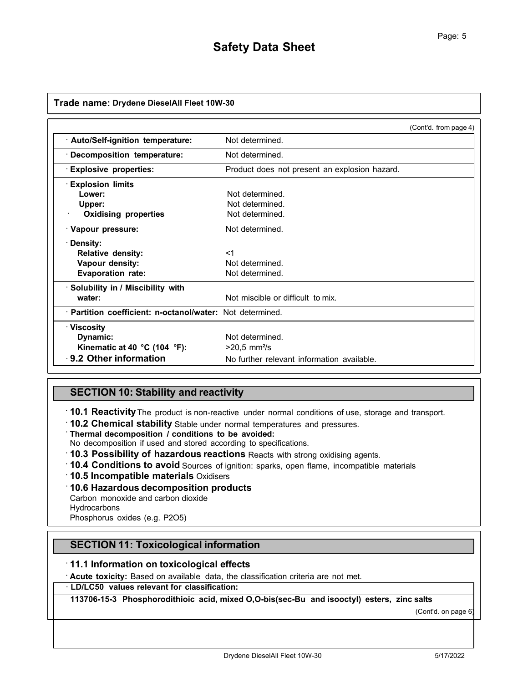|                                                           |                                               | (Cont'd. from page 4) |
|-----------------------------------------------------------|-----------------------------------------------|-----------------------|
| · Auto/Self-ignition temperature:                         | Not determined.                               |                       |
| · Decomposition temperature:                              | Not determined.                               |                       |
| <b>Explosive properties:</b>                              | Product does not present an explosion hazard. |                       |
| <b>Explosion limits</b>                                   |                                               |                       |
| Lower:                                                    | Not determined.                               |                       |
| Upper:                                                    | Not determined.                               |                       |
| <b>Oxidising properties</b>                               | Not determined.                               |                       |
| · Vapour pressure:                                        | Not determined.                               |                       |
| · Density:                                                |                                               |                       |
| <b>Relative density:</b>                                  | $<$ 1                                         |                       |
| Vapour density:                                           | Not determined.                               |                       |
| <b>Evaporation rate:</b>                                  | Not determined.                               |                       |
| · Solubility in / Miscibility with                        |                                               |                       |
| water:                                                    | Not miscible or difficult to mix.             |                       |
| · Partition coefficient: n-octanol/water: Not determined. |                                               |                       |
| ∴Viscosity                                                |                                               |                       |
| Dynamic:                                                  | Not determined.                               |                       |
| Kinematic at 40 °C (104 °F):                              | $>20.5$ mm <sup>2</sup> /s                    |                       |
| 9.2 Other information                                     | No further relevant information available.    |                       |

# **SECTION 10: Stability and reactivity**

· **10.1 Reactivity**The product is non-reactive under normal conditions of use, storage and transport.

· **10.2 Chemical stability** Stable under normal temperatures and pressures. · **Thermal decomposition / conditions to be avoided:**

No decomposition if used and stored according to specifications.

- · **10.3 Possibility of hazardous reactions** Reacts with strong oxidising agents.
- · **10.4 Conditions to avoid** Sources of ignition: sparks, open flame, incompatible materials
- · **10.5 Incompatible materials** Oxidisers

### · **10.6 Hazardous decomposition products**

Carbon monoxide and carbon dioxide

**Hydrocarbons** 

Phosphorus oxides (e.g. P2O5)

# **SECTION 11: Toxicological information**

### · **11.1 Information on toxicological effects**

· **Acute toxicity:** Based on available data, the classification criteria are not met.

## · **LD/LC50 values relevant for classification:**

**113706-15-3 Phosphorodithioic acid, mixed O,O-bis(sec-Bu and isooctyl) esters, zinc salts**

(Cont'd. on page 6)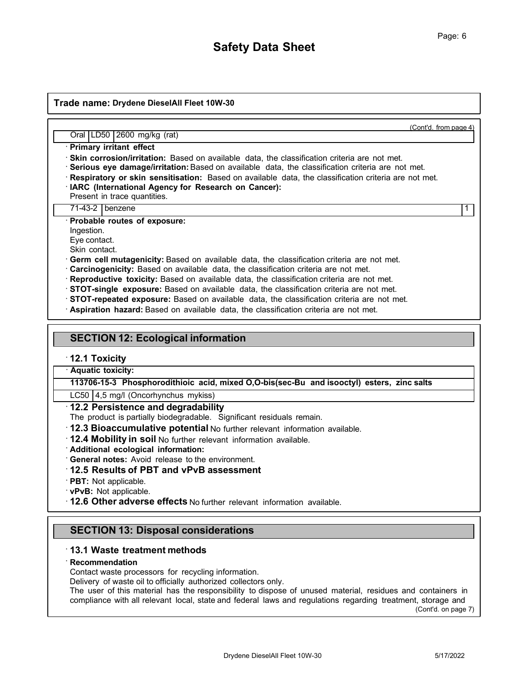(Cont'd. from page 4)

Oral LD50 2600 mg/kg (rat)

· **Primary irritant effect**

· **Skin corrosion/irritation:** Based on available data, the classification criteria are not met.

- · **Serious eye damage/irritation:** Based on available data, the classification criteria are not met.
- · **Respiratory or skin sensitisation:** Based on available data, the classification criteria are not met.
- · **IARC (International Agency for Research on Cancer):**

Present in trace quantities.

71-43-2 benzene 1

· **Probable routes of exposure:**

Ingestion.

Eye contact.

Skin contact.

· **Germ cell mutagenicity:** Based on available data, the classification criteria are not met.

- · **Carcinogenicity:** Based on available data, the classification criteria are not met.
- · **Reproductive toxicity:** Based on available data, the classification criteria are not met.
- · **STOT-single exposure:** Based on available data, the classification criteria are not met.
- · **STOT-repeated exposure:** Based on available data, the classification criteria are not met.
- · **Aspiration hazard:** Based on available data, the classification criteria are not met.

# **SECTION 12: Ecological information**

## · **12.1 Toxicity**

· **Aquatic toxicity:**

**113706-15-3 Phosphorodithioic acid, mixed O,O-bis(sec-Bu and isooctyl) esters, zinc salts**

LC50 4,5 mg/l (Oncorhynchus mykiss)

## · **12.2 Persistence and degradability**

The product is partially biodegradable. Significant residuals remain.

- · **12.3 Bioaccumulative potential** No further relevant information available.
- · **12.4 Mobility in soil** No further relevant information available.
- · **Additional ecological information:**

· **General notes:** Avoid release to the environment.

## · **12.5 Results of PBT and vPvB assessment**

· **PBT:** Not applicable.

· **vPvB:** Not applicable.

· **12.6 Other adverse effects** No further relevant information available.

# **SECTION 13: Disposal considerations**

## · **13.1 Waste treatment methods**

### · **Recommendation**

Contact waste processors for recycling information.

Delivery of waste oil to officially authorized collectors only.

The user of this material has the responsibility to dispose of unused material, residues and containers in compliance with all relevant local, state and federal laws and regulations regarding treatment, storage and

(Cont'd. on page 7)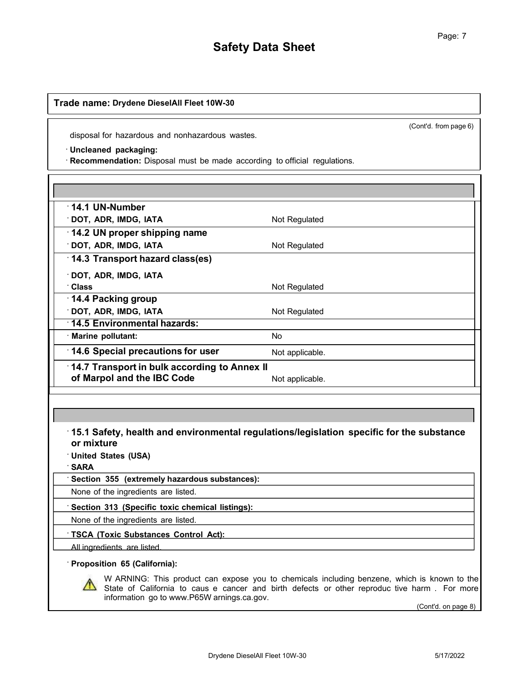(Cont'd. from page 6)

disposal for hazardous and nonhazardous wastes.

#### · **Uncleaned packaging:**

· **Recommendation:** Disposal must be made according to official regulations.

| Not Regulated                                |
|----------------------------------------------|
|                                              |
| Not Regulated                                |
|                                              |
|                                              |
| Not Regulated                                |
|                                              |
| Not Regulated                                |
|                                              |
| No                                           |
| Not applicable.                              |
| 14.7 Transport in bulk according to Annex II |
| Not applicable.                              |
|                                              |

· **15.1 Safety, health and environmental regulations/legislation specific for the substance or mixture**

· **United States (USA)**

· **SARA**

· **Section 355 (extremely hazardous substances):**

None of the ingredients are listed.

· **Section 313 (Specific toxic chemical listings):**

None of the ingredients are listed.

· **TSCA (Toxic Substances Control Act):**

All ingredients are listed.

## · **Proposition 65 (California):**

W ARNING: This product can expose you to chemicals including benzene, which is known to the State of California to caus e cancer and birth defects or other reproduc tive harm . For more information go to www.P65W [arnings.ca.gov.](http://www.p65warnings.ca.gov/)

(Cont'd. on page 8)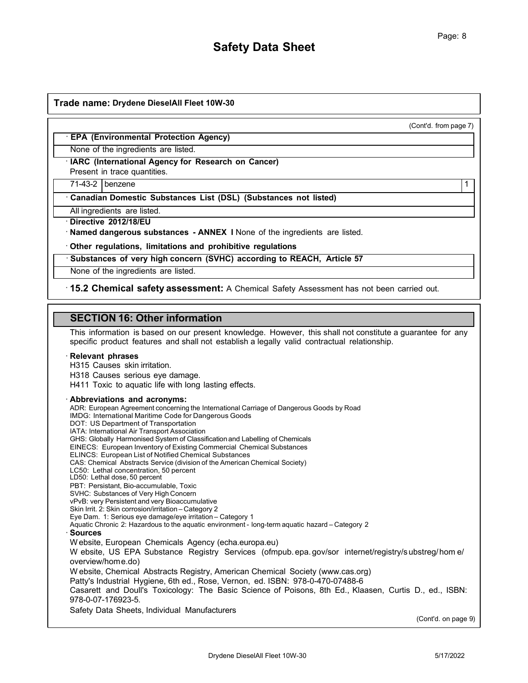(Cont'd. from page 7)

## · **EPA (Environmental Protection Agency)**

None of the ingredients are listed.

· **IARC (International Agency for Research on Cancer)**

Present in trace quantities.

71-43-2 benzene 1

· **Canadian Domestic Substances List (DSL) (Substances not listed)**

All ingredients are listed.

· **Directive 2012/18/EU**

· **Named dangerous substances - ANNEX I** None of the ingredients are listed.

· **Other regulations, limitations and prohibitive regulations**

· **Substances of very high concern (SVHC) according to REACH, Article 57**

None of the ingredients are listed.

· **15.2 Chemical safety assessment:** A Chemical Safety Assessment has not been carried out.

## **SECTION 16: Other information**

This information is based on our present knowledge. However, this shall not constitute a guarantee for any specific product features and shall not establish a legally valid contractual relationship.

#### · **Relevant phrases**

H315 Causes skin irritation.

H318 Causes serious eye damage.

H411 Toxic to aquatic life with long lasting effects.

#### · **Abbreviations and acronyms:**

ADR: European Agreement concerning the International Carriage of Dangerous Goods by Road IMDG: International Maritime Code for Dangerous Goods DOT: US Department of Transportation IATA: International Air Transport Association GHS: Globally Harmonised System of Classification and Labelling of Chemicals EINECS: European Inventory of Existing Commercial Chemical Substances ELINCS: European List of Notified Chemical Substances CAS: Chemical Abstracts Service (division of the American Chemical Society) LC50: Lethal concentration, 50 percent LD50: Lethal dose, 50 percent PBT: Persistant, Bio-accumulable, Toxic SVHC: Substances of Very High Concern vPvB: very Persistent and very Bioaccumulative Skin Irrit. 2: Skin corrosion/irritation – Category 2 Eye Dam. 1: Serious eye damage/eye irritation – Category 1 Aquatic Chronic 2: Hazardous to the aquatic environment - long-term aquatic hazard – Category 2 · **Sources** W ebsite, European Chemicals Agency (echa.europa.eu) W ebsite, US EPA Substance Registry Services (ofmpub. epa. gov/sor internet/registry/s ubstreg/hom e/ overview/home.do) W ebsite, Chemical Abstracts Registry, American Chemical Society (www.cas.org) Patty's Industrial Hygiene, 6th ed., Rose, Vernon, ed. ISBN: 978-0-470-07488-6 Casarett and Doull's Toxicology: The Basic Science of Poisons, 8th Ed., Klaasen, Curtis D., ed., ISBN: 978-0-07-176923-5. Safety Data Sheets, Individual Manufacturers